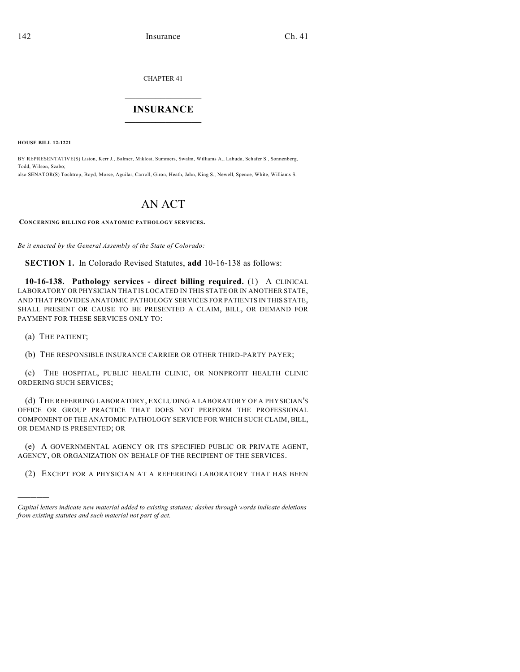CHAPTER 41

## $\mathcal{L}_\text{max}$  . The set of the set of the set of the set of the set of the set of the set of the set of the set of the set of the set of the set of the set of the set of the set of the set of the set of the set of the set **INSURANCE**  $\frac{1}{2}$  ,  $\frac{1}{2}$  ,  $\frac{1}{2}$  ,  $\frac{1}{2}$  ,  $\frac{1}{2}$  ,  $\frac{1}{2}$  ,  $\frac{1}{2}$

**HOUSE BILL 12-1221**

BY REPRESENTATIVE(S) Liston, Kerr J., Balmer, Miklosi, Summers, Swalm, Williams A., Labuda, Schafer S., Sonnenberg, Todd, Wilson, Szabo; also SENATOR(S) Tochtrop, Boyd, Morse, Aguilar, Carroll, Giron, Heath, Jahn, King S., Newell, Spence, White, Williams S.

## AN ACT

**CONCERNING BILLING FOR ANATOMIC PATHOLOGY SERVICES.**

*Be it enacted by the General Assembly of the State of Colorado:*

**SECTION 1.** In Colorado Revised Statutes, **add** 10-16-138 as follows:

**10-16-138. Pathology services - direct billing required.** (1) A CLINICAL LABORATORY OR PHYSICIAN THAT IS LOCATED IN THIS STATE OR IN ANOTHER STATE, AND THAT PROVIDES ANATOMIC PATHOLOGY SERVICES FOR PATIENTS IN THIS STATE, SHALL PRESENT OR CAUSE TO BE PRESENTED A CLAIM, BILL, OR DEMAND FOR PAYMENT FOR THESE SERVICES ONLY TO:

(a) THE PATIENT;

)))))

(b) THE RESPONSIBLE INSURANCE CARRIER OR OTHER THIRD-PARTY PAYER;

(c) THE HOSPITAL, PUBLIC HEALTH CLINIC, OR NONPROFIT HEALTH CLINIC ORDERING SUCH SERVICES;

(d) THE REFERRING LABORATORY, EXCLUDING A LABORATORY OF A PHYSICIAN'S OFFICE OR GROUP PRACTICE THAT DOES NOT PERFORM THE PROFESSIONAL COMPONENT OF THE ANATOMIC PATHOLOGY SERVICE FOR WHICH SUCH CLAIM, BILL, OR DEMAND IS PRESENTED; OR

(e) A GOVERNMENTAL AGENCY OR ITS SPECIFIED PUBLIC OR PRIVATE AGENT, AGENCY, OR ORGANIZATION ON BEHALF OF THE RECIPIENT OF THE SERVICES.

(2) EXCEPT FOR A PHYSICIAN AT A REFERRING LABORATORY THAT HAS BEEN

*Capital letters indicate new material added to existing statutes; dashes through words indicate deletions from existing statutes and such material not part of act.*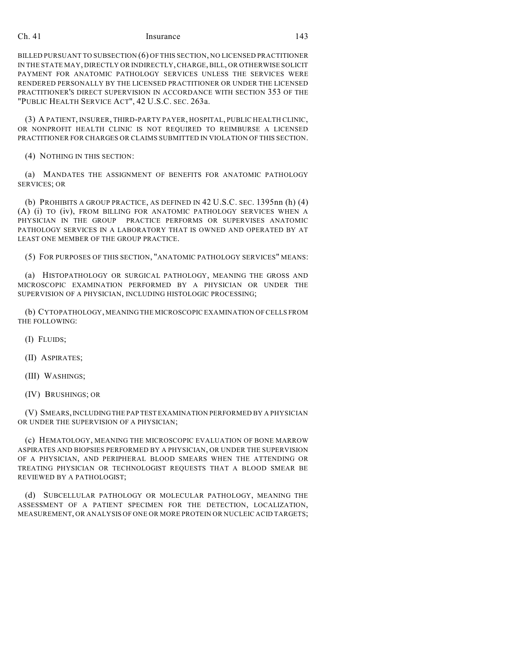## Ch. 41 Insurance 143

BILLED PURSUANT TO SUBSECTION (6) OF THIS SECTION, NO LICENSED PRACTITIONER IN THE STATE MAY, DIRECTLY OR INDIRECTLY,CHARGE,BILL, OR OTHERWISE SOLICIT PAYMENT FOR ANATOMIC PATHOLOGY SERVICES UNLESS THE SERVICES WERE RENDERED PERSONALLY BY THE LICENSED PRACTITIONER OR UNDER THE LICENSED PRACTITIONER'S DIRECT SUPERVISION IN ACCORDANCE WITH SECTION 353 OF THE "PUBLIC HEALTH SERVICE ACT", 42 U.S.C. SEC. 263a.

(3) A PATIENT, INSURER, THIRD-PARTY PAYER, HOSPITAL, PUBLIC HEALTH CLINIC, OR NONPROFIT HEALTH CLINIC IS NOT REQUIRED TO REIMBURSE A LICENSED PRACTITIONER FOR CHARGES OR CLAIMS SUBMITTED IN VIOLATION OF THIS SECTION.

(4) NOTHING IN THIS SECTION:

(a) MANDATES THE ASSIGNMENT OF BENEFITS FOR ANATOMIC PATHOLOGY SERVICES; OR

(b) PROHIBITS A GROUP PRACTICE, AS DEFINED IN 42 U.S.C. SEC. 1395nn (h) (4) (A) (i) TO (iv), FROM BILLING FOR ANATOMIC PATHOLOGY SERVICES WHEN A PHYSICIAN IN THE GROUP PRACTICE PERFORMS OR SUPERVISES ANATOMIC PATHOLOGY SERVICES IN A LABORATORY THAT IS OWNED AND OPERATED BY AT LEAST ONE MEMBER OF THE GROUP PRACTICE.

(5) FOR PURPOSES OF THIS SECTION, "ANATOMIC PATHOLOGY SERVICES" MEANS:

(a) HISTOPATHOLOGY OR SURGICAL PATHOLOGY, MEANING THE GROSS AND MICROSCOPIC EXAMINATION PERFORMED BY A PHYSICIAN OR UNDER THE SUPERVISION OF A PHYSICIAN, INCLUDING HISTOLOGIC PROCESSING;

(b) CYTOPATHOLOGY, MEANING THE MICROSCOPIC EXAMINATION OF CELLS FROM THE FOLLOWING:

- (I) FLUIDS;
- (II) ASPIRATES;
- (III) WASHINGS;
- (IV) BRUSHINGS; OR

(V) SMEARS,INCLUDINGTHE PAP TEST EXAMINATION PERFORMED BY A PHYSICIAN OR UNDER THE SUPERVISION OF A PHYSICIAN;

(c) HEMATOLOGY, MEANING THE MICROSCOPIC EVALUATION OF BONE MARROW ASPIRATES AND BIOPSIES PERFORMED BY A PHYSICIAN, OR UNDER THE SUPERVISION OF A PHYSICIAN, AND PERIPHERAL BLOOD SMEARS WHEN THE ATTENDING OR TREATING PHYSICIAN OR TECHNOLOGIST REQUESTS THAT A BLOOD SMEAR BE REVIEWED BY A PATHOLOGIST;

(d) SUBCELLULAR PATHOLOGY OR MOLECULAR PATHOLOGY, MEANING THE ASSESSMENT OF A PATIENT SPECIMEN FOR THE DETECTION, LOCALIZATION, MEASUREMENT, OR ANALYSIS OF ONE OR MORE PROTEIN OR NUCLEIC ACID TARGETS;